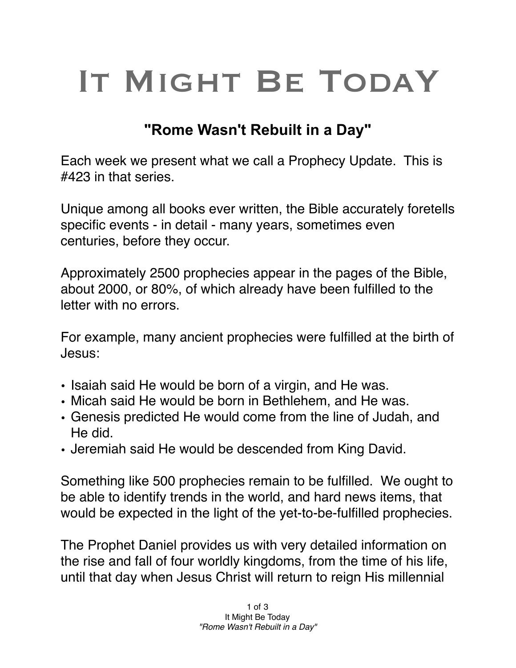## IT MIGHT BE TODAY

## **"Rome Wasn't Rebuilt in a Day"**

Each week we present what we call a Prophecy Update. This is #423 in that series.

Unique among all books ever written, the Bible accurately foretells specific events - in detail - many years, sometimes even centuries, before they occur.

Approximately 2500 prophecies appear in the pages of the Bible, about 2000, or 80%, of which already have been fulfilled to the letter with no errors.

For example, many ancient prophecies were fulfilled at the birth of Jesus:

- Isaiah said He would be born of a virgin, and He was.
- Micah said He would be born in Bethlehem, and He was.
- Genesis predicted He would come from the line of Judah, and He did.
- Jeremiah said He would be descended from King David.

Something like 500 prophecies remain to be fulfilled. We ought to be able to identify trends in the world, and hard news items, that would be expected in the light of the yet-to-be-fulfilled prophecies.

The Prophet Daniel provides us with very detailed information on the rise and fall of four worldly kingdoms, from the time of his life, until that day when Jesus Christ will return to reign His millennial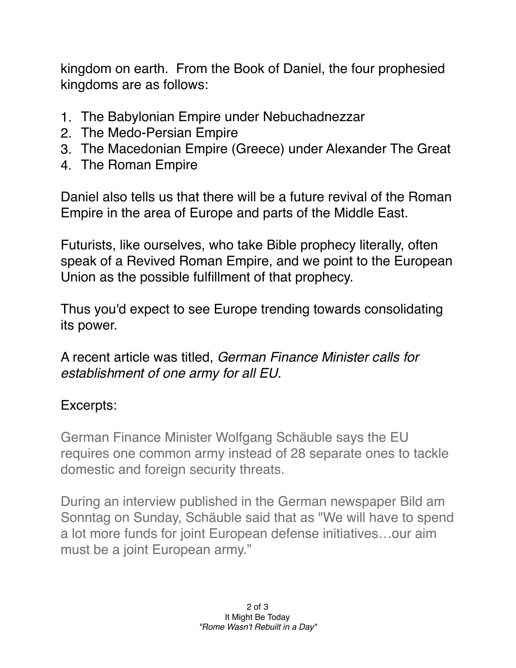kingdom on earth. From the Book of Daniel, the four prophesied kingdoms are as follows:

- 1. The Babylonian Empire under Nebuchadnezzar
- 2. The Medo-Persian Empire
- 3. The Macedonian Empire (Greece) under Alexander The Great
- 4. The Roman Empire

Daniel also tells us that there will be a future revival of the Roman Empire in the area of Europe and parts of the Middle East.

Futurists, like ourselves, who take Bible prophecy literally, often speak of a Revived Roman Empire, and we point to the European Union as the possible fulfillment of that prophecy.

Thus you'd expect to see Europe trending towards consolidating its power.

A recent article was titled, *German Finance Minister calls for establishment of one army for all EU.*

## Excerpts:

German Finance Minister Wolfgang Schäuble says the EU requires one common army instead of 28 separate ones to tackle domestic and foreign security threats.

During an interview published in the German newspaper Bild am Sonntag on Sunday, Schäuble said that as "We will have to spend a lot more funds for joint European defense initiatives…our aim must be a joint European army."